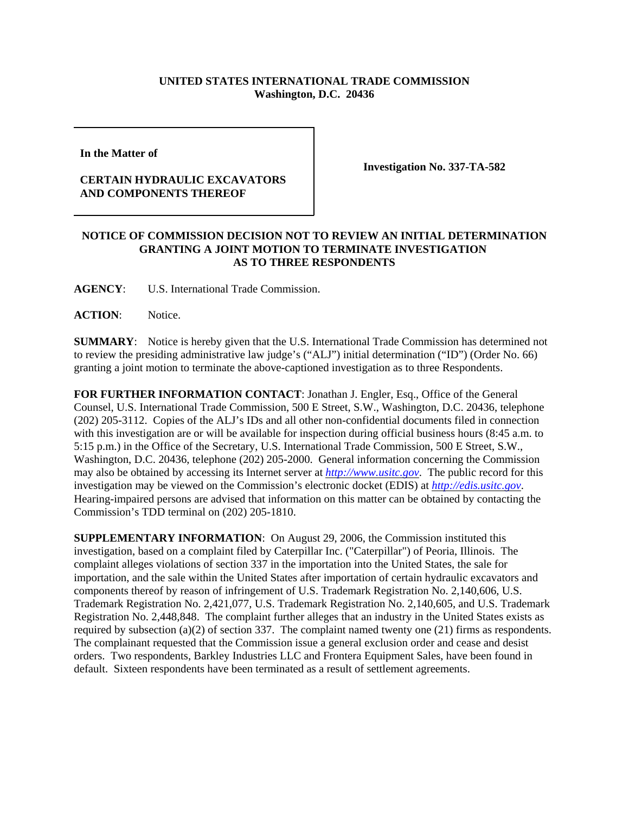## **UNITED STATES INTERNATIONAL TRADE COMMISSION Washington, D.C. 20436**

**In the Matter of** 

## **CERTAIN HYDRAULIC EXCAVATORS AND COMPONENTS THEREOF**

**Investigation No. 337-TA-582**

## **NOTICE OF COMMISSION DECISION NOT TO REVIEW AN INITIAL DETERMINATION GRANTING A JOINT MOTION TO TERMINATE INVESTIGATION AS TO THREE RESPONDENTS**

**AGENCY**: U.S. International Trade Commission.

**ACTION**: Notice.

**SUMMARY**: Notice is hereby given that the U.S. International Trade Commission has determined not to review the presiding administrative law judge's ("ALJ") initial determination ("ID") (Order No. 66) granting a joint motion to terminate the above-captioned investigation as to three Respondents.

**FOR FURTHER INFORMATION CONTACT**: Jonathan J. Engler, Esq., Office of the General Counsel, U.S. International Trade Commission, 500 E Street, S.W., Washington, D.C. 20436, telephone (202) 205-3112. Copies of the ALJ's IDs and all other non-confidential documents filed in connection with this investigation are or will be available for inspection during official business hours (8:45 a.m. to 5:15 p.m.) in the Office of the Secretary, U.S. International Trade Commission, 500 E Street, S.W., Washington, D.C. 20436, telephone (202) 205-2000. General information concerning the Commission may also be obtained by accessing its Internet server at *http://www.usitc.gov*. The public record for this investigation may be viewed on the Commission's electronic docket (EDIS) at *http://edis.usitc.gov*. Hearing-impaired persons are advised that information on this matter can be obtained by contacting the Commission's TDD terminal on (202) 205-1810.

**SUPPLEMENTARY INFORMATION**: On August 29, 2006, the Commission instituted this investigation, based on a complaint filed by Caterpillar Inc. ("Caterpillar") of Peoria, Illinois. The complaint alleges violations of section 337 in the importation into the United States, the sale for importation, and the sale within the United States after importation of certain hydraulic excavators and components thereof by reason of infringement of U.S. Trademark Registration No. 2,140,606, U.S. Trademark Registration No. 2,421,077, U.S. Trademark Registration No. 2,140,605, and U.S. Trademark Registration No. 2,448,848. The complaint further alleges that an industry in the United States exists as required by subsection (a)(2) of section 337. The complaint named twenty one (21) firms as respondents. The complainant requested that the Commission issue a general exclusion order and cease and desist orders. Two respondents, Barkley Industries LLC and Frontera Equipment Sales, have been found in default. Sixteen respondents have been terminated as a result of settlement agreements.